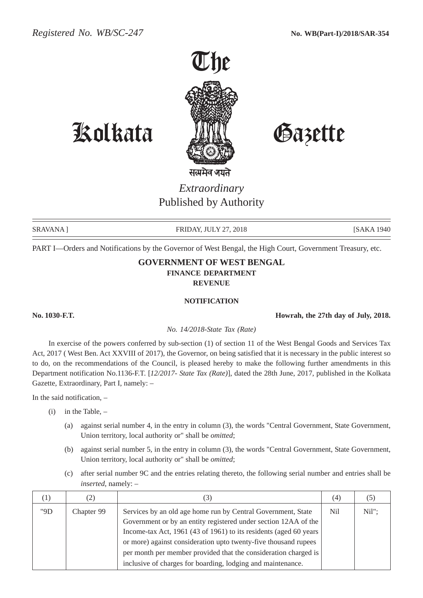

Kolkata Gazette

## *Extraordinary* Published by Authority

SRAVANA ] FRIDAY, JULY 27, 2018 [SAKA 1940]

PART I—Orders and Notifications by the Governor of West Bengal, the High Court, Government Treasury, etc.

## **GOVERNMENT OF WEST BENGAL FINANCE DEPARTMENT REVENUE**

## **NOTIFICATION**

**No. 1030-F.T. Howrah, the 27th day of July, 2018.**

*No. 14/2018-State Tax (Rate)*

In exercise of the powers conferred by sub-section (1) of section 11 of the West Bengal Goods and Services Tax Act, 2017 ( West Ben. Act XXVIII of 2017), the Governor, on being satisfied that it is necessary in the public interest so to do, on the recommendations of the Council, is pleased hereby to make the following further amendments in this Department notification No.1136-F.T. [*12/2017- State Tax (Rate)*], dated the 28th June, 2017, published in the Kolkata Gazette, Extraordinary, Part I, namely: –

In the said notification, –

- $(i)$  in the Table,  $-$ 
	- (a) against serial number 4, in the entry in column (3), the words "Central Government, State Government, Union territory, local authority or" shall be *omitted*;
	- (b) against serial number 5, in the entry in column (3), the words "Central Government, State Government, Union territory, local authority or" shall be *omitted*;
	- (c) after serial number 9C and the entries relating thereto, the following serial number and entries shall be *inserted*, namely: –

| $\perp$ . | (2)        | (3)                                                               | (4) | (5)      |
|-----------|------------|-------------------------------------------------------------------|-----|----------|
| "9D       | Chapter 99 | Services by an old age home run by Central Government, State      | Nil | $Nil"$ : |
|           |            | Government or by an entity registered under section 12AA of the   |     |          |
|           |            | Income-tax Act, 1961 (43 of 1961) to its residents (aged 60 years |     |          |
|           |            | or more) against consideration upto twenty-five thousand rupees   |     |          |
|           |            | per month per member provided that the consideration charged is   |     |          |
|           |            | inclusive of charges for boarding, lodging and maintenance.       |     |          |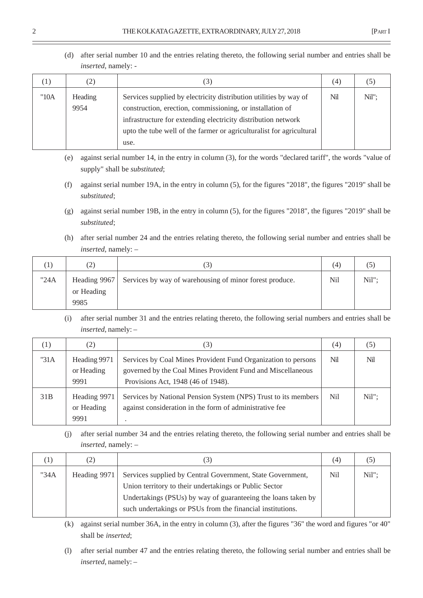(d) after serial number 10 and the entries relating thereto, the following serial number and entries shall be *inserted*, namely: -

| $\left(1\right)$ | (2)             | $\left(3\right)$                                                                                                                                                                                                                                                                | (4) | $\circ$ |
|------------------|-----------------|---------------------------------------------------------------------------------------------------------------------------------------------------------------------------------------------------------------------------------------------------------------------------------|-----|---------|
| "10A             | Heading<br>9954 | Services supplied by electricity distribution utilities by way of<br>construction, erection, commissioning, or installation of<br>infrastructure for extending electricity distribution network<br>upto the tube well of the farmer or agriculturalist for agricultural<br>use. | Nil | Nil":   |

- (e) against serial number 14, in the entry in column (3), for the words "declared tariff", the words "value of supply" shall be *substituted*;
- (f) against serial number 19A, in the entry in column (5), for the figures "2018", the figures "2019" shall be *substituted*;
- (g) against serial number 19B, in the entry in column (5), for the figures "2018", the figures "2019" shall be *substituted*;
- (h) after serial number 24 and the entries relating thereto, the following serial number and entries shall be *inserted*, namely: –

|      | $\left( 2\right)$  | د،                                                                   | (4) | (5    |
|------|--------------------|----------------------------------------------------------------------|-----|-------|
| "24A | or Heading<br>9985 | Heading 9967 Services by way of warehousing of minor forest produce. | Ni1 | Nil": |

(i) after serial number 31 and the entries relating thereto, the following serial numbers and entries shall be *inserted*, namely: –

| (1)  | (2)                                | (3)                                                                                                                                                                       | (4)  | (5)      |
|------|------------------------------------|---------------------------------------------------------------------------------------------------------------------------------------------------------------------------|------|----------|
| "31A | Heading 9971<br>or Heading<br>9991 | Nil<br>Services by Coal Mines Provident Fund Organization to persons<br>governed by the Coal Mines Provident Fund and Miscellaneous<br>Provisions Act, 1948 (46 of 1948). |      | Nil      |
| 31B  | Heading 9971<br>or Heading<br>9991 | Services by National Pension System (NPS) Trust to its members<br>against consideration in the form of administrative fee                                                 | Nil. | $Nil"$ : |

(j) after serial number 34 and the entries relating thereto, the following serial number and entries shall be *inserted*, namely: –

|      | 2)             |                                                               | (4) |       |
|------|----------------|---------------------------------------------------------------|-----|-------|
| "34A | Heading $9971$ | Services supplied by Central Government, State Government,    |     | Nil"; |
|      |                | Union territory to their undertakings or Public Sector        |     |       |
|      |                | Undertakings (PSUs) by way of guaranteeing the loans taken by |     |       |
|      |                | such undertakings or PSUs from the financial institutions.    |     |       |

(k) against serial number 36A, in the entry in column (3), after the figures "36" the word and figures "or 40" shall be *inserted*;

(l) after serial number 47 and the entries relating thereto, the following serial number and entries shall be *inserted*, namely: –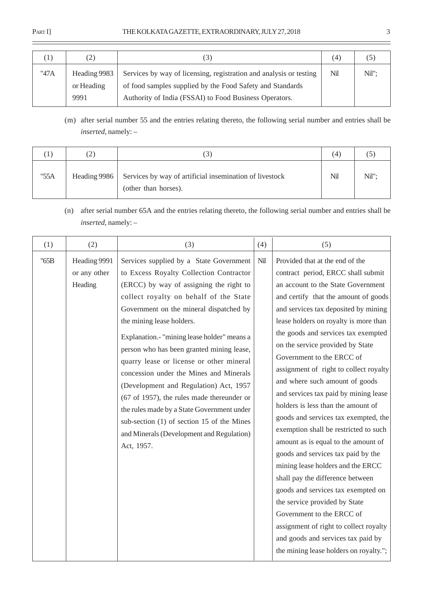## PART I] THE KOLKATA GAZETTE, EXTRAORDINARY, JULY 27, 2018 3

|      | (2)          | $\overline{J}$                                                     | (4) | (5    |
|------|--------------|--------------------------------------------------------------------|-----|-------|
| "47A | Heading 9983 | Services by way of licensing, registration and analysis or testing | Nil | Nil": |
|      | or Heading   | of food samples supplied by the Food Safety and Standards          |     |       |
|      | 9991         | Authority of India (FSSAI) to Food Business Operators.             |     |       |

(m) after serial number 55 and the entries relating thereto, the following serial number and entries shall be *inserted*, namely: –

|      | $\left( 2\right)$ | $\sqrt{2}$                                                                      | (4) |       |
|------|-------------------|---------------------------------------------------------------------------------|-----|-------|
| "55A | Heading 9986      | Services by way of artificial insemination of livestock<br>(other than horses). | Nil | Nil": |

(n) after serial number 65A and the entries relating thereto, the following serial number and entries shall be *inserted*, namely: –

| (1)  | (2)                                     | (3)                                                                                                                                                                                                                                                                                                                                                                                                                                                                                                                                                                                                                                                                               | (4) | (5)                                                                                                                                                                                                                                                                                                                                                                                                                                                                                                                                                                                                                                                                                                                                                                                                                                                                                                                                                                          |
|------|-----------------------------------------|-----------------------------------------------------------------------------------------------------------------------------------------------------------------------------------------------------------------------------------------------------------------------------------------------------------------------------------------------------------------------------------------------------------------------------------------------------------------------------------------------------------------------------------------------------------------------------------------------------------------------------------------------------------------------------------|-----|------------------------------------------------------------------------------------------------------------------------------------------------------------------------------------------------------------------------------------------------------------------------------------------------------------------------------------------------------------------------------------------------------------------------------------------------------------------------------------------------------------------------------------------------------------------------------------------------------------------------------------------------------------------------------------------------------------------------------------------------------------------------------------------------------------------------------------------------------------------------------------------------------------------------------------------------------------------------------|
| "65B | Heading 9991<br>or any other<br>Heading | Services supplied by a State Government<br>to Excess Royalty Collection Contractor<br>(ERCC) by way of assigning the right to<br>collect royalty on behalf of the State<br>Government on the mineral dispatched by<br>the mining lease holders.<br>Explanation.- "mining lease holder" means a<br>person who has been granted mining lease,<br>quarry lease or license or other mineral<br>concession under the Mines and Minerals<br>(Development and Regulation) Act, 1957<br>(67 of 1957), the rules made thereunder or<br>the rules made by a State Government under<br>sub-section (1) of section 15 of the Mines<br>and Minerals (Development and Regulation)<br>Act, 1957. | Nil | Provided that at the end of the<br>contract period, ERCC shall submit<br>an account to the State Government<br>and certify that the amount of goods<br>and services tax deposited by mining<br>lease holders on royalty is more than<br>the goods and services tax exempted<br>on the service provided by State<br>Government to the ERCC of<br>assignment of right to collect royalty<br>and where such amount of goods<br>and services tax paid by mining lease<br>holders is less than the amount of<br>goods and services tax exempted, the<br>exemption shall be restricted to such<br>amount as is equal to the amount of<br>goods and services tax paid by the<br>mining lease holders and the ERCC<br>shall pay the difference between<br>goods and services tax exempted on<br>the service provided by State<br>Government to the ERCC of<br>assignment of right to collect royalty<br>and goods and services tax paid by<br>the mining lease holders on royalty."; |

 $\overline{a}$